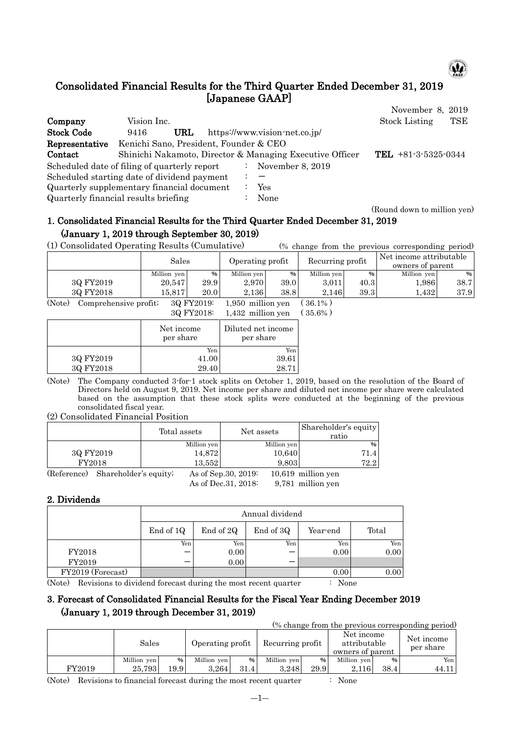

# Consolidated Financial Results for the Third Quarter Ended December 31, 2019 [Japanese GAAP]

|                                              |                                        |     |    |                                                          | November 8, 2019      |     |
|----------------------------------------------|----------------------------------------|-----|----|----------------------------------------------------------|-----------------------|-----|
| Company                                      | Vision Inc.                            |     |    |                                                          | <b>Stock Listing</b>  | TSE |
| <b>Stock Code</b>                            | 9416                                   | URL |    | https://www.vision-net.co.jp/                            |                       |     |
| Representative                               | Kenichi Sano, President, Founder & CEO |     |    |                                                          |                       |     |
| Contact                                      |                                        |     |    | Shinichi Nakamoto, Director & Managing Executive Officer | TEL $+81-3-5325-0344$ |     |
| Scheduled date of filing of quarterly report |                                        |     | ÷. | November 8, 2019                                         |                       |     |
| Scheduled starting date of dividend payment  |                                        |     |    |                                                          |                       |     |
| Quarterly supplementary financial document   |                                        |     |    | Yes                                                      |                       |     |
| Quarterly financial results briefing         |                                        |     |    | None                                                     |                       |     |

#### (Round down to million yen)

# 1. Consolidated Financial Results for the Third Quarter Ended December 31, 2019 (January 1, 2019 through September 30, 2019)

(1) Consolidated Operating Results (Cumulative) (% change from the previous corresponding period)

|                      | Sales       |                                                         | Operating profit |      | Recurring profit                   |      | Net income attributable<br>owners of parent |      |
|----------------------|-------------|---------------------------------------------------------|------------------|------|------------------------------------|------|---------------------------------------------|------|
|                      | Million yen | %                                                       | Million yen      | %    | Million yen                        | %    | Million yen                                 | %1   |
| 3Q FY2019            | 20.547      | 29.9                                                    | 2.970            | 39.0 | 3.011                              | 40.3 | 1,986                                       | 38.7 |
| 3Q FY2018            | 15.817      | 20.0                                                    | 2.136            | 38.8 | 2.146                              | 39.3 | 0.432                                       | 37.9 |
| $\sqrt{2}$<br>$\sim$ | $\sim$      | $\sim$ $\sim$ $\sim$ $\sim$ $\sim$ $\sim$ $\sim$ $\sim$ | .<br>- - - -     |      | $\sim$ $\sim$ $\sim$ $\sim$ $\sim$ |      |                                             |      |

(Note) Comprehensive profit; 3Q FY2019: 1,950 million yen ( 36.1% ) 3Q FY2018: 1,432 million yen ( 35.6% )

|           | $0.92$ + $1.40$ + $0.7$ | $1,102$ $111111011$ , $011$     |  |
|-----------|-------------------------|---------------------------------|--|
|           | Net income<br>per share | Diluted net income<br>per share |  |
|           | Yen                     | Yen                             |  |
| 3Q FY2019 | 41.00                   | 39.61                           |  |
| 3Q FY2018 | 29.40                   | 28.71                           |  |

(Note) The Company conducted 3-for-1 stock splits on October 1, 2019, based on the resolution of the Board of Directors held on August 9, 2019. Net income per share and diluted net income per share were calculated based on the assumption that these stock splits were conducted at the beginning of the previous consolidated fiscal year.

#### (2) Consolidated Financial Position

|             |                       | Total assets |                      | Net assets  | Shareholder's equity<br>ratio |
|-------------|-----------------------|--------------|----------------------|-------------|-------------------------------|
|             |                       |              | Million yen          | Million yen | $\%$                          |
| 3Q FY2019   |                       | 14,872       |                      | 10,640      | 71.4                          |
| FY2018      |                       |              | 13,552               | 9,803       | 72.2                          |
| (Reference) | Shareholder's equity; |              | As of Sep. 30, 2019: |             | $10,619$ million yen          |
|             |                       |              | As of Dec. 31, 2018: |             | 9,781 million yen             |

## 2. Dividends

|                   |           | Annual dividend |           |          |       |  |  |  |  |  |  |
|-------------------|-----------|-----------------|-----------|----------|-------|--|--|--|--|--|--|
|                   | End of 1Q | End of 2Q       | End of 3Q | Year-end | Total |  |  |  |  |  |  |
|                   | Yen       | Yen             | Yen       | Yen      | Yen   |  |  |  |  |  |  |
| FY2018            |           | 0.00            |           | 0.00     | 0.00  |  |  |  |  |  |  |
| FY2019            |           | 0.00            |           |          |       |  |  |  |  |  |  |
| FY2019 (Forecast) |           |                 |           | 0.00     | 0.00  |  |  |  |  |  |  |

(Note) Revisions to dividend forecast during the most recent quarter : None

# 3. Forecast of Consolidated Financial Results for the Fiscal Year Ending December 2019 (January 1, 2019 through December 31, 2019)

(% change from the previous corresponding period)

|        | Sales       |       | Operating profit |      | Recurring profit |      | Net income<br>attributable<br>owners of parent |      | Net income<br>per share |
|--------|-------------|-------|------------------|------|------------------|------|------------------------------------------------|------|-------------------------|
|        | Million yen | %     | Million yen      | $\%$ | Million yen      | %    | Million yen                                    | $\%$ | Yen                     |
| FY2019 | 25.793      | 19.91 | 3.264            | 31.4 | 3.248            | 29.9 | 2.116                                          | 38.4 | 44.11                   |

(Note) Revisions to financial forecast during the most recent quarter : None